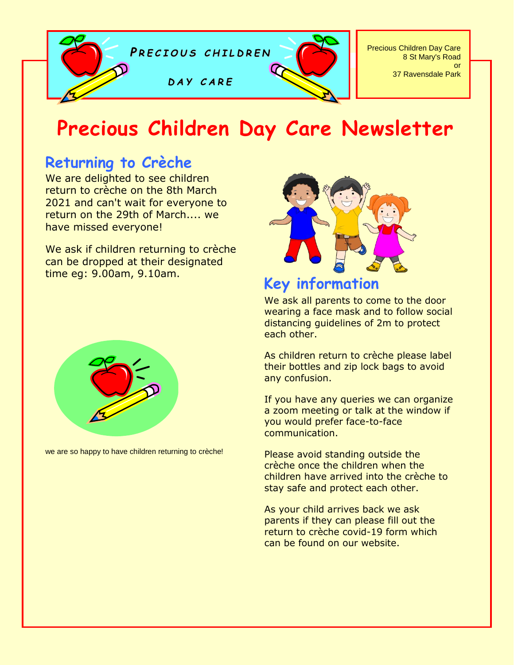

# **Precious Children Day Care Newsletter**

## **Returning to Crèche**

We are delighted to see children return to crèche on the 8th March 2021 and can't wait for everyone to return on the 29th of March.... we have missed everyone!

We ask if children returning to crèche can be dropped at their designated time eg: 9.00am, 9.10am.



we are so happy to have children returning to crèche!



## **Key information**

We ask all parents to come to the door wearing a face mask and to follow social distancing guidelines of 2m to protect each other.

As children return to crèche please label their bottles and zip lock bags to avoid any confusion.

If you have any queries we can organize a zoom meeting or talk at the window if you would prefer face-to-face communication.

Please avoid standing outside the crèche once the children when the children have arrived into the crèche to stay safe and protect each other.

As your child arrives back we ask parents if they can please fill out the return to crèche covid-19 form which can be found on our website.